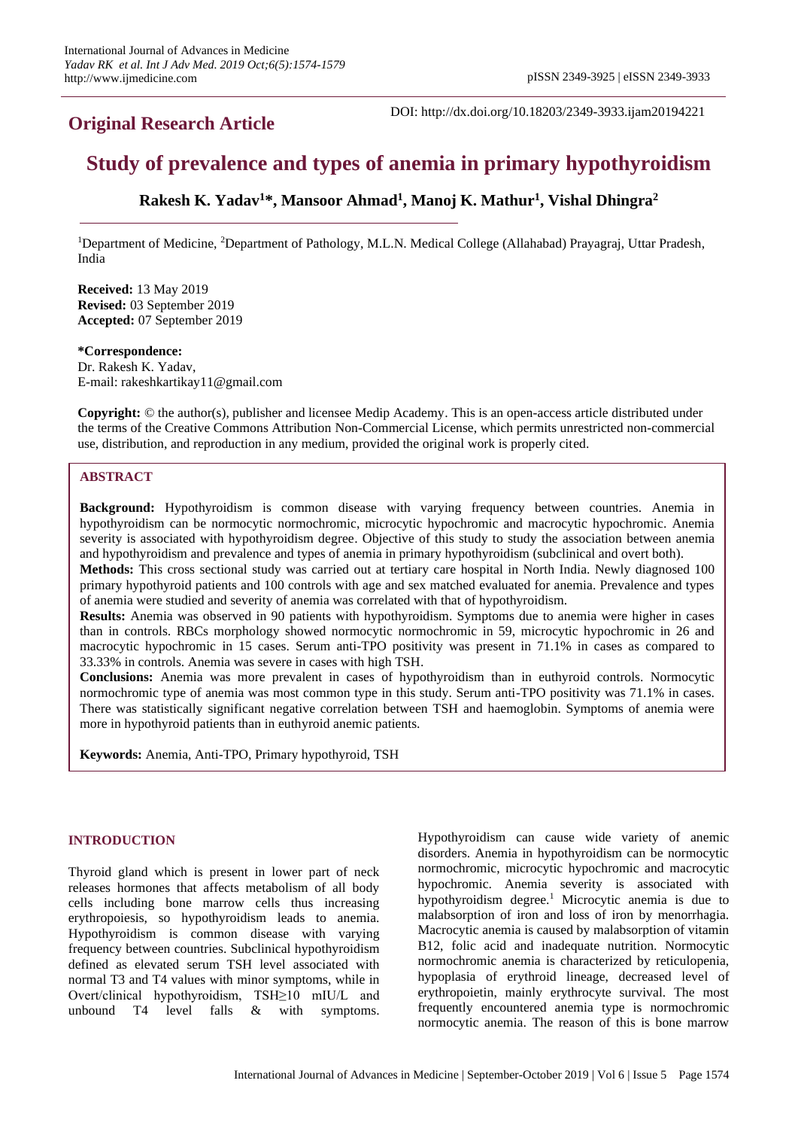# **Original Research Article**

DOI: http://dx.doi.org/10.18203/2349-3933.ijam20194221

# **Study of prevalence and types of anemia in primary hypothyroidism**

# **Rakesh K. Yadav<sup>1</sup>\*, Mansoor Ahmad<sup>1</sup> , Manoj K. Mathur<sup>1</sup> , Vishal Dhingra<sup>2</sup>**

<sup>1</sup>Department of Medicine, <sup>2</sup>Department of Pathology, M.L.N. Medical College (Allahabad) Prayagraj, Uttar Pradesh, India

**Received:** 13 May 2019 **Revised:** 03 September 2019 **Accepted:** 07 September 2019

# **\*Correspondence:**

Dr. Rakesh K. Yadav, E-mail: rakeshkartikay11@gmail.com

**Copyright:** © the author(s), publisher and licensee Medip Academy. This is an open-access article distributed under the terms of the Creative Commons Attribution Non-Commercial License, which permits unrestricted non-commercial use, distribution, and reproduction in any medium, provided the original work is properly cited.

# **ABSTRACT**

**Background:** Hypothyroidism is common disease with varying frequency between countries. Anemia in hypothyroidism can be normocytic normochromic, microcytic hypochromic and macrocytic hypochromic. Anemia severity is associated with hypothyroidism degree. Objective of this study to study the association between anemia and hypothyroidism and prevalence and types of anemia in primary hypothyroidism (subclinical and overt both).

**Methods:** This cross sectional study was carried out at tertiary care hospital in North India. Newly diagnosed 100 primary hypothyroid patients and 100 controls with age and sex matched evaluated for anemia. Prevalence and types of anemia were studied and severity of anemia was correlated with that of hypothyroidism.

**Results:** Anemia was observed in 90 patients with hypothyroidism. Symptoms due to anemia were higher in cases than in controls. RBCs morphology showed normocytic normochromic in 59, microcytic hypochromic in 26 and macrocytic hypochromic in 15 cases. Serum anti-TPO positivity was present in 71.1% in cases as compared to 33.33% in controls. Anemia was severe in cases with high TSH.

**Conclusions:** Anemia was more prevalent in cases of hypothyroidism than in euthyroid controls. Normocytic normochromic type of anemia was most common type in this study. Serum anti-TPO positivity was 71.1% in cases. There was statistically significant negative correlation between TSH and haemoglobin. Symptoms of anemia were more in hypothyroid patients than in euthyroid anemic patients.

**Keywords:** Anemia, Anti-TPO, Primary hypothyroid, TSH

#### **INTRODUCTION**

Thyroid gland which is present in lower part of neck releases hormones that affects metabolism of all body cells including bone marrow cells thus increasing erythropoiesis, so hypothyroidism leads to anemia. Hypothyroidism is common disease with varying frequency between countries. Subclinical hypothyroidism defined as elevated serum TSH level associated with normal T3 and T4 values with minor symptoms, while in Overt/clinical hypothyroidism, TSH≥10 mIU/L and unbound T4 level falls & with symptoms. Hypothyroidism can cause wide variety of anemic disorders. Anemia in hypothyroidism can be normocytic normochromic, microcytic hypochromic and macrocytic hypochromic. Anemia severity is associated with hypothyroidism degree.<sup>1</sup> Microcytic anemia is due to malabsorption of iron and loss of iron by menorrhagia. Macrocytic anemia is caused by malabsorption of vitamin B12, folic acid and inadequate nutrition. Normocytic normochromic anemia is characterized by reticulopenia, hypoplasia of erythroid lineage, decreased level of erythropoietin, mainly erythrocyte survival. The most frequently encountered anemia type is normochromic normocytic anemia. The reason of this is bone marrow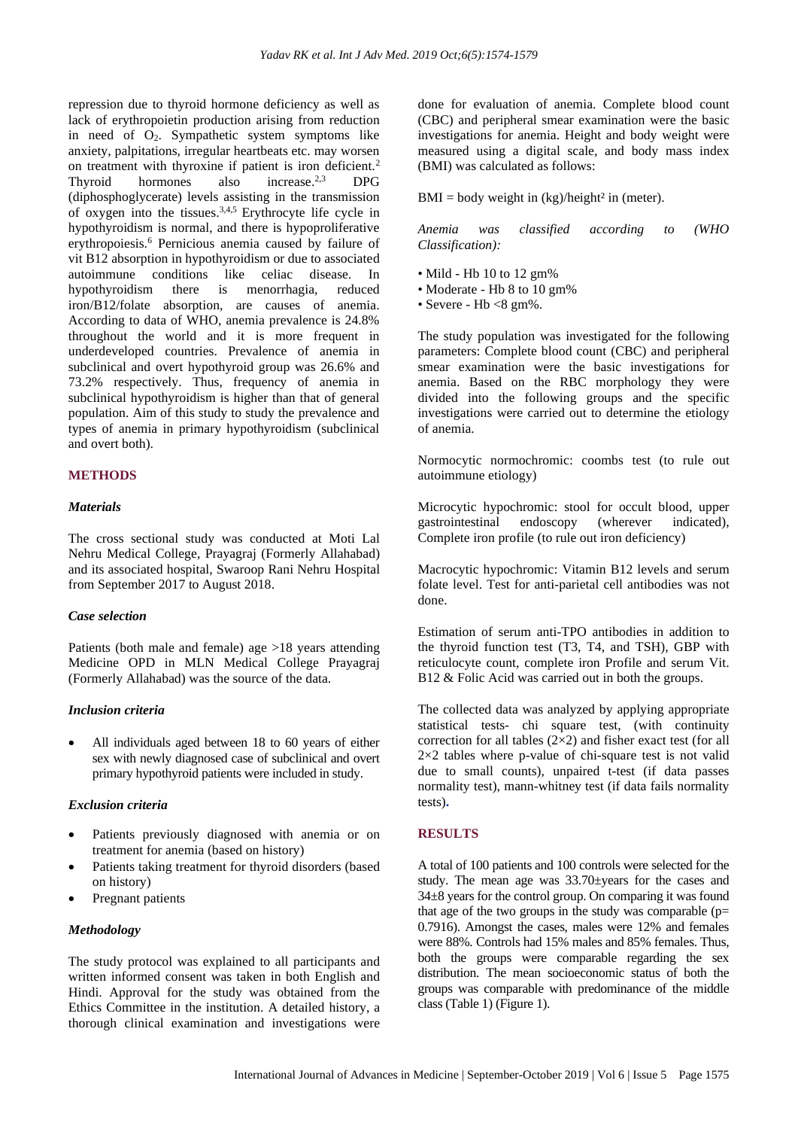repression due to thyroid hormone deficiency as well as lack of erythropoietin production arising from reduction in need of  $O<sub>2</sub>$ . Sympathetic system symptoms like anxiety, palpitations, irregular heartbeats etc. may worsen on treatment with thyroxine if patient is iron deficient.<sup>2</sup> Thyroid hormones also increase. 2,3 DPG (diphosphoglycerate) levels assisting in the transmission of oxygen into the tissues.<sup>3,4,5</sup> Erythrocyte life cycle in hypothyroidism is normal, and there is hypoproliferative erythropoiesis.<sup>6</sup> Pernicious anemia caused by failure of vit B12 absorption in hypothyroidism or due to associated autoimmune conditions like celiac disease. In hypothyroidism there is menorrhagia, reduced iron/B12/folate absorption, are causes of anemia. According to data of WHO, anemia prevalence is 24.8% throughout the world and it is more frequent in underdeveloped countries. Prevalence of anemia in subclinical and overt hypothyroid group was 26.6% and 73.2% respectively. Thus, frequency of anemia in subclinical hypothyroidism is higher than that of general population. Aim of this study to study the prevalence and types of anemia in primary hypothyroidism (subclinical and overt both).

# **METHODS**

# *Materials*

The cross sectional study was conducted at Moti Lal Nehru Medical College, Prayagraj (Formerly Allahabad) and its associated hospital, Swaroop Rani Nehru Hospital from September 2017 to August 2018.

# *Case selection*

Patients (both male and female) age >18 years attending Medicine OPD in MLN Medical College Prayagraj (Formerly Allahabad) was the source of the data.

#### *Inclusion criteria*

• All individuals aged between 18 to 60 years of either sex with newly diagnosed case of subclinical and overt primary hypothyroid patients were included in study.

# *Exclusion criteria*

- Patients previously diagnosed with anemia or on treatment for anemia (based on history)
- Patients taking treatment for thyroid disorders (based) on history)
- Pregnant patients

# *Methodology*

The study protocol was explained to all participants and written informed consent was taken in both English and Hindi. Approval for the study was obtained from the Ethics Committee in the institution. A detailed history, a thorough clinical examination and investigations were

done for evaluation of anemia. Complete blood count (CBC) and peripheral smear examination were the basic investigations for anemia. Height and body weight were measured using a digital scale, and body mass index (BMI) was calculated as follows:

 $BMI = body weight in (kg)/height<sup>2</sup> in (meter).$ 

*Anemia was classified according to (WHO Classification):* 

- Mild Hb 10 to 12 gm%
- Moderate Hb 8 to 10 gm%
- Severe  $Hb < 8$  gm%.

The study population was investigated for the following parameters: Complete blood count (CBC) and peripheral smear examination were the basic investigations for anemia. Based on the RBC morphology they were divided into the following groups and the specific investigations were carried out to determine the etiology of anemia.

Normocytic normochromic: coombs test (to rule out autoimmune etiology)

Microcytic hypochromic: stool for occult blood, upper gastrointestinal endoscopy (wherever indicated), Complete iron profile (to rule out iron deficiency)

Macrocytic hypochromic: Vitamin B12 levels and serum folate level. Test for anti-parietal cell antibodies was not done.

Estimation of serum anti-TPO antibodies in addition to the thyroid function test (T3, T4, and TSH), GBP with reticulocyte count, complete iron Profile and serum Vit. B12 & Folic Acid was carried out in both the groups.

The collected data was analyzed by applying appropriate statistical tests- chi square test, (with continuity correction for all tables (2×2) and fisher exact test (for all 2×2 tables where p-value of chi-square test is not valid due to small counts), unpaired t-test (if data passes normality test), mann-whitney test (if data fails normality tests)**.** 

# **RESULTS**

A total of 100 patients and 100 controls were selected for the study. The mean age was 33.70±years for the cases and 34±8 years for the control group. On comparing it was found that age of the two groups in the study was comparable  $(p=$ 0.7916). Amongst the cases, males were 12% and females were 88%. Controls had 15% males and 85% females. Thus, both the groups were comparable regarding the sex distribution. The mean socioeconomic status of both the groups was comparable with predominance of the middle class (Table 1) (Figure 1).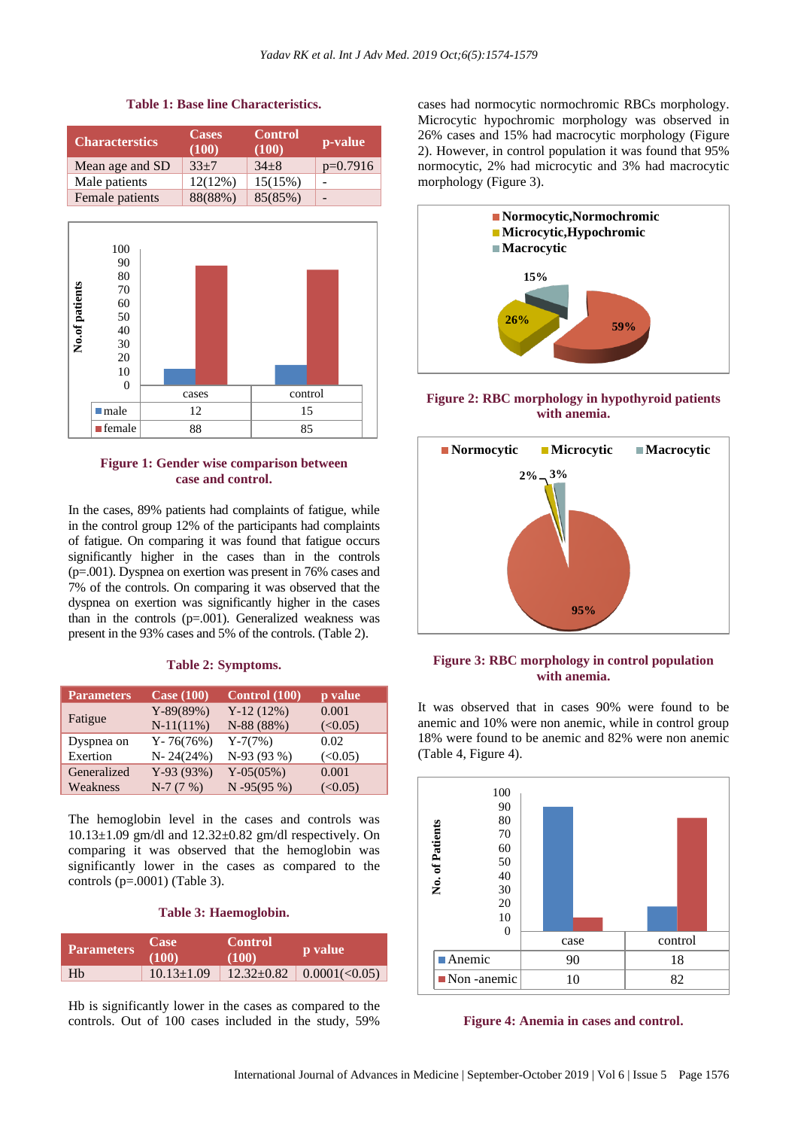

#### **Table 1: Base line Characteristics.**

# **Figure 1: Gender wise comparison between case and control.**

In the cases, 89% patients had complaints of fatigue, while in the control group 12% of the participants had complaints of fatigue. On comparing it was found that fatigue occurs significantly higher in the cases than in the controls (p=.001). Dyspnea on exertion was present in 76% cases and 7% of the controls. On comparing it was observed that the dyspnea on exertion was significantly higher in the cases than in the controls (p=.001). Generalized weakness was present in the 93% cases and 5% of the controls. (Table 2).

#### **Table 2: Symptoms.**

| <b>Parameters</b> | <b>Case (100)</b> | Control (100) | p value |
|-------------------|-------------------|---------------|---------|
| Fatigue           | $Y-89(89%)$       | $Y-12(12%)$   | 0.001   |
|                   | $N-11(11%)$       | N-88 (88%)    | (<0.05) |
| Dyspnea on        | $Y - 76(76%)$     | $Y-7(7%)$     | 0.02    |
| Exertion          | $N - 24(24%)$     | N-93 (93 %)   | (<0.05) |
| Generalized       | $Y-93(93%)$       | $Y-05(05%)$   | 0.001   |
| Weakness          | $N-7(7%)$         | $N - 95(95%)$ | (<0.05) |

The hemoglobin level in the cases and controls was  $10.13\pm1.09$  gm/dl and  $12.32\pm0.82$  gm/dl respectively. On comparing it was observed that the hemoglobin was significantly lower in the cases as compared to the controls (p=.0001) (Table 3).

#### **Table 3: Haemoglobin.**

| <b>Parameters</b> | Case<br>(100)    | <b>Control</b><br>(100) | <b>p</b> value                   |
|-------------------|------------------|-------------------------|----------------------------------|
| Hb                | $10.13 \pm 1.09$ |                         | $12.32 \pm 0.82$   0.0001(<0.05) |

Hb is significantly lower in the cases as compared to the controls. Out of 100 cases included in the study, 59%

cases had normocytic normochromic RBCs morphology. Microcytic hypochromic morphology was observed in 26% cases and 15% had macrocytic morphology (Figure 2). However, in control population it was found that 95% normocytic, 2% had microcytic and 3% had macrocytic morphology (Figure 3).



**Figure 2: RBC morphology in hypothyroid patients with anemia.**



# **Figure 3: RBC morphology in control population with anemia.**

It was observed that in cases 90% were found to be anemic and 10% were non anemic, while in control group 18% were found to be anemic and 82% were non anemic (Table 4, Figure 4).



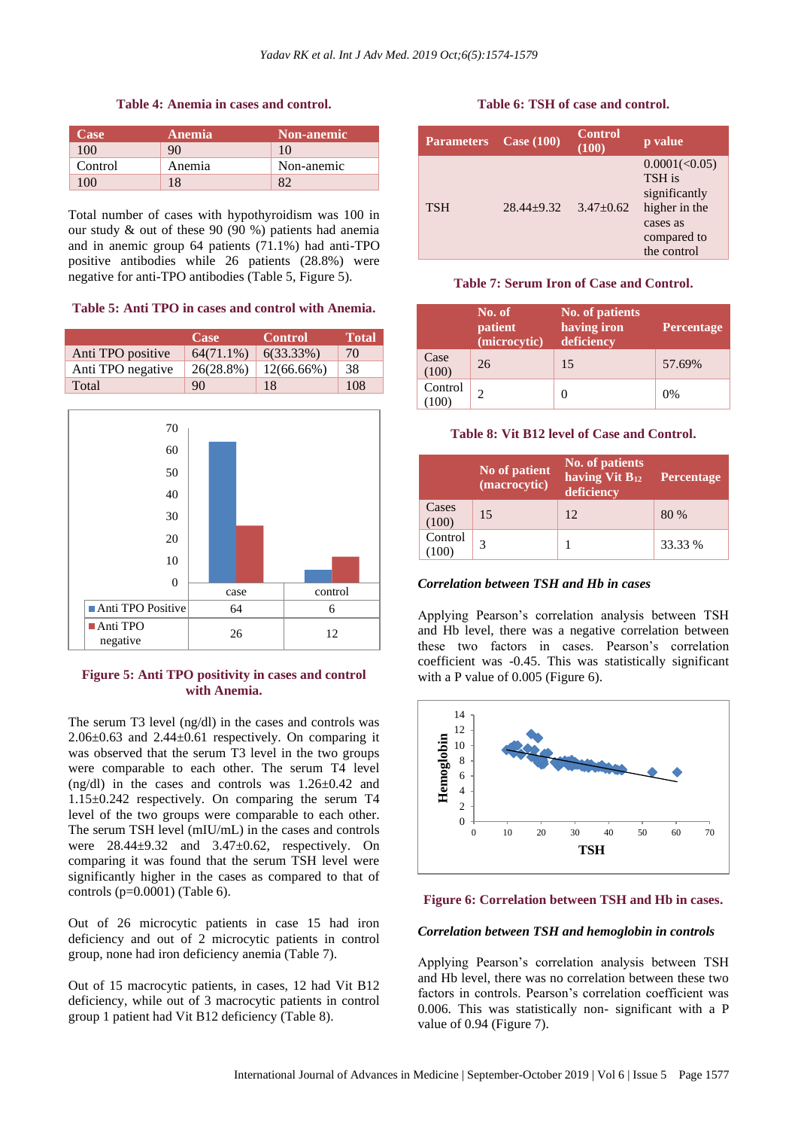**Table 4: Anemia in cases and control.**

| Case     | <b>Anemia</b> | <b>Non-anemic</b> |
|----------|---------------|-------------------|
| 100      | 90            | 10                |
| Control  | Anemia        | Non-anemic        |
| $\Omega$ | 18            |                   |

Total number of cases with hypothyroidism was 100 in our study & out of these 90 (90 %) patients had anemia and in anemic group 64 patients (71.1%) had anti-TPO positive antibodies while 26 patients (28.8%) were negative for anti-TPO antibodies (Table 5, Figure 5).

**Table 5: Anti TPO in cases and control with Anemia.**

|                   | <b>Case</b>  | <b>Control</b> | <b>Total</b> |
|-------------------|--------------|----------------|--------------|
| Anti TPO positive | $64(71.1\%)$ | 6(33.33%)      | 70           |
| Anti TPO negative | 26(28.8%)    | $12(66.66\%)$  | 38           |
| Total             | 90           | 18             | 108          |



# **Figure 5: Anti TPO positivity in cases and control with Anemia.**

The serum T3 level (ng/dl) in the cases and controls was  $2.06\pm0.63$  and  $2.44\pm0.61$  respectively. On comparing it was observed that the serum T3 level in the two groups were comparable to each other. The serum T4 level (ng/dl) in the cases and controls was 1.26±0.42 and 1.15±0.242 respectively. On comparing the serum T4 level of the two groups were comparable to each other. The serum TSH level (mIU/mL) in the cases and controls were  $28.44\pm9.32$  and  $3.47\pm0.62$ , respectively. On comparing it was found that the serum TSH level were significantly higher in the cases as compared to that of controls (p=0.0001) (Table 6).

Out of 26 microcytic patients in case 15 had iron deficiency and out of 2 microcytic patients in control group, none had iron deficiency anemia (Table 7).

Out of 15 macrocytic patients, in cases, 12 had Vit B12 deficiency, while out of 3 macrocytic patients in control group 1 patient had Vit B12 deficiency (Table 8).

#### **Table 6: TSH of case and control.**

| <b>Parameters</b> | Case $(100)$     | <b>Control</b><br>(100) | p value                                                                                             |
|-------------------|------------------|-------------------------|-----------------------------------------------------------------------------------------------------|
| <b>TSH</b>        | $28.44 \pm 9.32$ | $3.47 \pm 0.62$         | 0.0001(<0.05)<br>TSH is<br>significantly<br>higher in the<br>cases as<br>compared to<br>the control |

#### **Table 7: Serum Iron of Case and Control.**

|                 | No. of<br>patient<br>(microcytic) | No. of patients<br>having iron<br>deficiency | Percentage |
|-----------------|-----------------------------------|----------------------------------------------|------------|
| Case<br>(100)   | 26                                | 15                                           | 57.69%     |
| Control<br>100) | C                                 |                                              | 0%         |

#### **Table 8: Vit B12 level of Case and Control.**

|                 | No of patient<br>(macrocytic) | No. of patients<br>having Vit B <sub>12</sub><br>deficiency | <b>Percentage</b> |
|-----------------|-------------------------------|-------------------------------------------------------------|-------------------|
| Cases<br>(100)  | 15                            | 12                                                          | 80 %              |
| Control<br>100) | 2                             |                                                             | 33.33 %           |

# *Correlation between TSH and Hb in cases*

Applying Pearson's correlation analysis between TSH and Hb level, there was a negative correlation between these two factors in cases. Pearson's correlation coefficient was -0.45. This was statistically significant with a P value of 0.005 (Figure 6).



#### **Figure 6: Correlation between TSH and Hb in cases.**

#### *Correlation between TSH and hemoglobin in controls*

Applying Pearson's correlation analysis between TSH and Hb level, there was no correlation between these two factors in controls. Pearson's correlation coefficient was 0.006. This was statistically non- significant with a P value of 0.94 (Figure 7).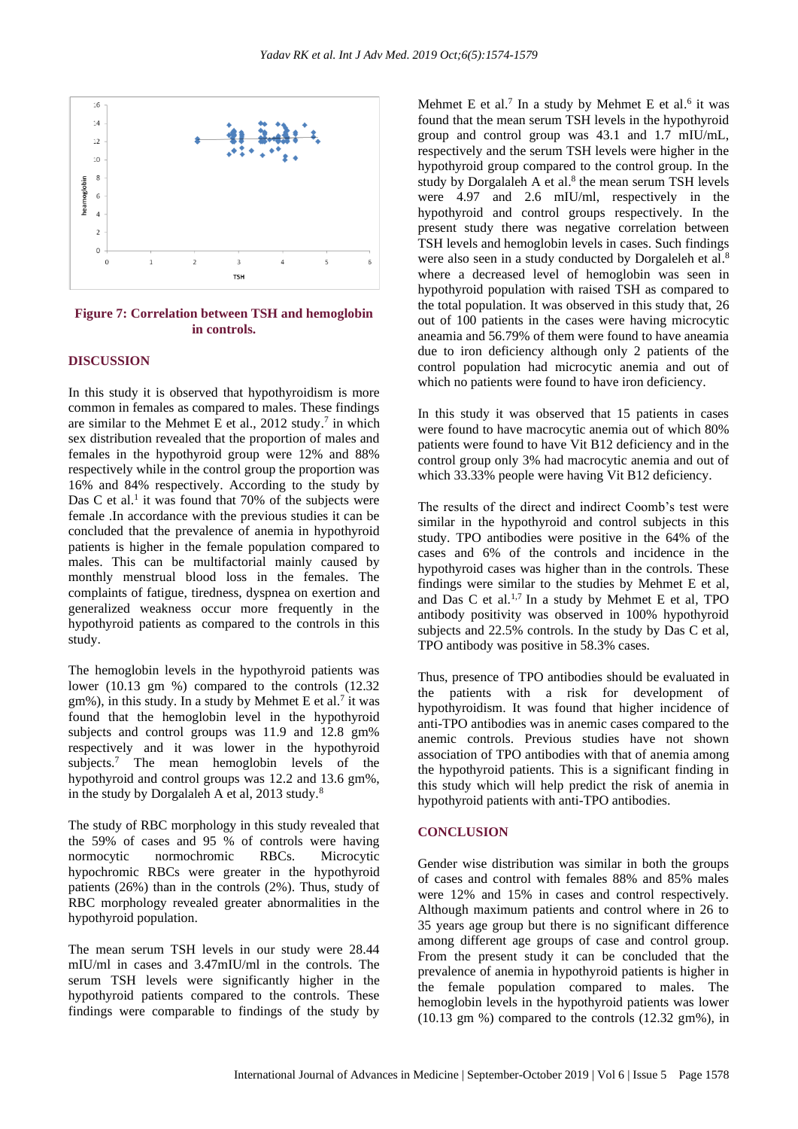

**Figure 7: Correlation between TSH and hemoglobin in controls.**

# **DISCUSSION**

In this study it is observed that hypothyroidism is more common in females as compared to males. These findings are similar to the Mehmet E et al.,  $2012$  study.<sup>7</sup> in which sex distribution revealed that the proportion of males and females in the hypothyroid group were 12% and 88% respectively while in the control group the proportion was 16% and 84% respectively. According to the study by Das C et al.<sup>1</sup> it was found that  $70\%$  of the subjects were female .In accordance with the previous studies it can be concluded that the prevalence of anemia in hypothyroid patients is higher in the female population compared to males. This can be multifactorial mainly caused by monthly menstrual blood loss in the females. The complaints of fatigue, tiredness, dyspnea on exertion and generalized weakness occur more frequently in the hypothyroid patients as compared to the controls in this study.

The hemoglobin levels in the hypothyroid patients was lower (10.13 gm %) compared to the controls (12.32)  $gm\%$ ), in this study. In a study by Mehmet E et al.<sup>7</sup> it was found that the hemoglobin level in the hypothyroid subjects and control groups was 11.9 and 12.8 gm% respectively and it was lower in the hypothyroid subjects.<sup>7</sup> The mean hemoglobin levels of the hypothyroid and control groups was 12.2 and 13.6 gm%, in the study by Dorgalaleh A et al,  $2013$  study.<sup>8</sup>

The study of RBC morphology in this study revealed that the 59% of cases and 95 % of controls were having normocytic normochromic RBCs. Microcytic hypochromic RBCs were greater in the hypothyroid patients (26%) than in the controls (2%). Thus, study of RBC morphology revealed greater abnormalities in the hypothyroid population.

The mean serum TSH levels in our study were 28.44 mIU/ml in cases and 3.47mIU/ml in the controls. The serum TSH levels were significantly higher in the hypothyroid patients compared to the controls. These findings were comparable to findings of the study by

Mehmet E et al.<sup>7</sup> In a study by Mehmet E et al.<sup>6</sup> it was found that the mean serum TSH levels in the hypothyroid group and control group was 43.1 and 1.7 mIU/mL, respectively and the serum TSH levels were higher in the hypothyroid group compared to the control group. In the study by Dorgalaleh A et al.<sup>8</sup> the mean serum TSH levels were 4.97 and 2.6 mIU/ml, respectively in the hypothyroid and control groups respectively. In the present study there was negative correlation between TSH levels and hemoglobin levels in cases. Such findings were also seen in a study conducted by Dorgaleleh et al.<sup>8</sup> where a decreased level of hemoglobin was seen in hypothyroid population with raised TSH as compared to the total population. It was observed in this study that, 26 out of 100 patients in the cases were having microcytic aneamia and 56.79% of them were found to have aneamia due to iron deficiency although only 2 patients of the control population had microcytic anemia and out of which no patients were found to have iron deficiency.

In this study it was observed that 15 patients in cases were found to have macrocytic anemia out of which 80% patients were found to have Vit B12 deficiency and in the control group only 3% had macrocytic anemia and out of which 33.33% people were having Vit B12 deficiency.

The results of the direct and indirect Coomb's test were similar in the hypothyroid and control subjects in this study. TPO antibodies were positive in the 64% of the cases and 6% of the controls and incidence in the hypothyroid cases was higher than in the controls. These findings were similar to the studies by Mehmet E et al, and Das C et al.<sup>1,7</sup> In a study by Mehmet E et al, TPO antibody positivity was observed in 100% hypothyroid subjects and 22.5% controls. In the study by Das C et al, TPO antibody was positive in 58.3% cases.

Thus, presence of TPO antibodies should be evaluated in the patients with a risk for development of hypothyroidism. It was found that higher incidence of anti-TPO antibodies was in anemic cases compared to the anemic controls. Previous studies have not shown association of TPO antibodies with that of anemia among the hypothyroid patients. This is a significant finding in this study which will help predict the risk of anemia in hypothyroid patients with anti-TPO antibodies.

#### **CONCLUSION**

Gender wise distribution was similar in both the groups of cases and control with females 88% and 85% males were 12% and 15% in cases and control respectively. Although maximum patients and control where in 26 to 35 years age group but there is no significant difference among different age groups of case and control group. From the present study it can be concluded that the prevalence of anemia in hypothyroid patients is higher in the female population compared to males. The hemoglobin levels in the hypothyroid patients was lower (10.13 gm %) compared to the controls (12.32 gm%), in